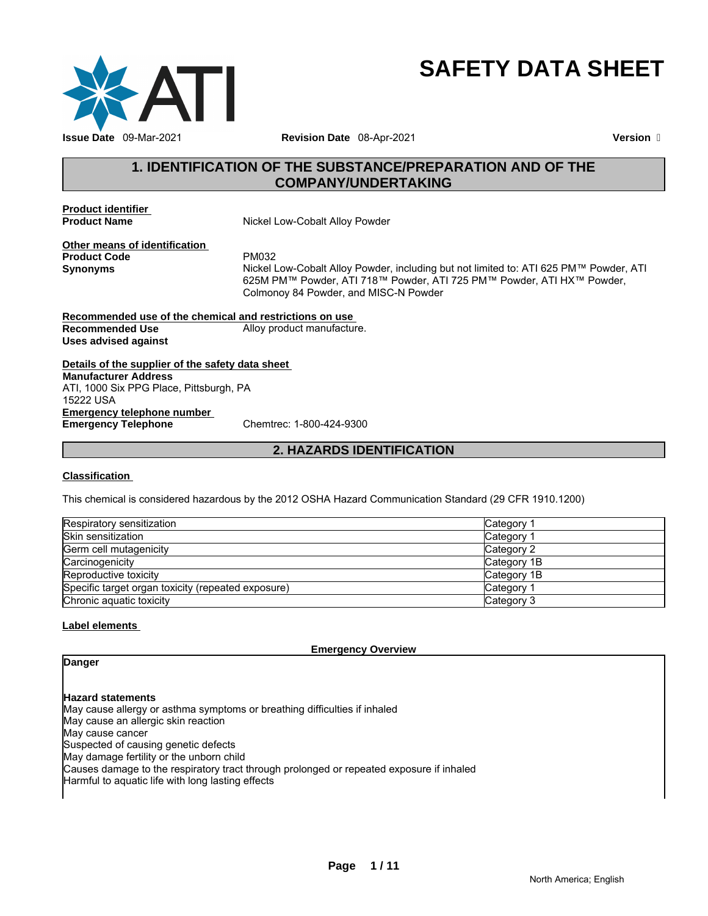

# **SAFETY DATA SHEET**

# **1. IDENTIFICATION OF THE SUBSTANCE/PREPARATION AND OF THE COMPANY/UNDERTAKING**

**Product identifier** 

**Nickel Low-Cobalt Alloy Powder** 

**Other means of identification Product Code** PM032

**Synonyms** Nickel Low-Cobalt Alloy Powder, including but not limited to: ATI 625 PM™ Powder, ATI 625M PM™ Powder, ATI 718™ Powder, ATI 725 PM™ Powder, ATI HX™ Powder, Colmonoy 84 Powder, and MISC-N Powder

**Recommended use of the chemical and restrictions on use Recommended Use** Alloy product manufacture. **Uses advised against** 

**Details of the supplier of the safety data sheet Emergency telephone number Emergency Telephone** Chemtrec: 1-800-424-9300 **Manufacturer Address** ATI, 1000 Six PPG Place, Pittsburgh, PA 15222 USA

#### **2. HAZARDS IDENTIFICATION**

#### **Classification**

This chemical is considered hazardous by the 2012 OSHA Hazard Communication Standard (29 CFR 1910.1200)

| Respiratory sensitization                          | Category 1            |
|----------------------------------------------------|-----------------------|
| <b>Skin sensitization</b>                          | Category <sup>2</sup> |
| Germ cell mutagenicity                             | Category 2            |
| Carcinogenicity                                    | Category 1B           |
| Reproductive toxicity                              | Category 1B           |
| Specific target organ toxicity (repeated exposure) | Category 1            |
| Chronic aquatic toxicity                           | Category 3            |

#### **Label elements**

**Emergency Overview** 

**Danger** 

#### **Hazard statements**

May cause allergy or asthma symptoms or breathing difficulties if inhaled May cause an allergic skin reaction May cause cancer Suspected of causing genetic defects May damage fertility or the unborn child

Causes damage to the respiratory tract through prolonged or repeated exposure if inhaled

Harmful to aquatic life with long lasting effects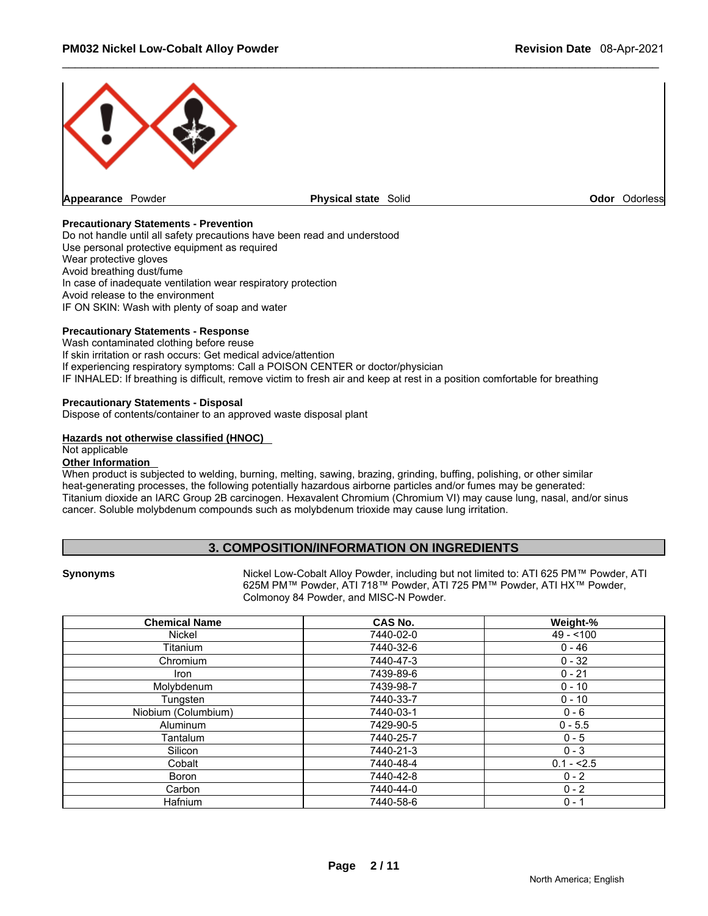

#### **Precautionary Statements - Prevention**

Do not handle until all safety precautions have been read and understood Use personal protective equipment as required Wear protective gloves Avoid breathing dust/fume In case of inadequate ventilation wear respiratory protection Avoid release to the environment IF ON SKIN: Wash with plenty of soap and water

#### **Precautionary Statements - Response**

Wash contaminated clothing before reuse If skin irritation or rash occurs: Get medical advice/attention If experiencing respiratory symptoms: Call a POISON CENTER or doctor/physician IF INHALED: If breathing is difficult, remove victim to fresh air and keep at rest in a position comfortable for breathing

#### **Precautionary Statements - Disposal**

Dispose of contents/container to an approved waste disposal plant

#### **Hazards not otherwise classified (HNOC)**

Not applicable

#### **Other Information**

When product is subjected to welding, burning, melting, sawing, brazing, grinding, buffing, polishing, or other similar heat-generating processes, the following potentially hazardous airborne particles and/or fumes may be generated: Titanium dioxide an IARC Group 2B carcinogen. Hexavalent Chromium (Chromium VI) may cause lung, nasal, and/or sinus cancer. Soluble molybdenum compounds such as molybdenum trioxide may cause lung irritation.

#### **3. COMPOSITION/INFORMATION ON INGREDIENTS**

**Synonyms** Nickel Low-Cobalt Alloy Powder, including but not limited to: ATI 625 PM™ Powder, ATI 625M PM™ Powder, ATI 718™ Powder, ATI 725 PM™ Powder, ATI HX™ Powder, Colmonoy 84 Powder, and MISC-N Powder.

| <b>Chemical Name</b> | <b>CAS No.</b> | Weight-%    |
|----------------------|----------------|-------------|
| Nickel               | 7440-02-0      | $49 - 100$  |
| Titanium             | 7440-32-6      | $0 - 46$    |
| Chromium             | 7440-47-3      | $0 - 32$    |
| <b>Iron</b>          | 7439-89-6      | $0 - 21$    |
| Molybdenum           | 7439-98-7      | $0 - 10$    |
| Tungsten             | 7440-33-7      | $0 - 10$    |
| Niobium (Columbium)  | 7440-03-1      | $0 - 6$     |
| <b>Aluminum</b>      | 7429-90-5      | $0 - 5.5$   |
| Tantalum             | 7440-25-7      | $0 - 5$     |
| Silicon              | 7440-21-3      | $0 - 3$     |
| Cobalt               | 7440-48-4      | $0.1 - 2.5$ |
| <b>Boron</b>         | 7440-42-8      | $0 - 2$     |
| Carbon               | 7440-44-0      | $0 - 2$     |
| Hafnium              | 7440-58-6      | $0 - 1$     |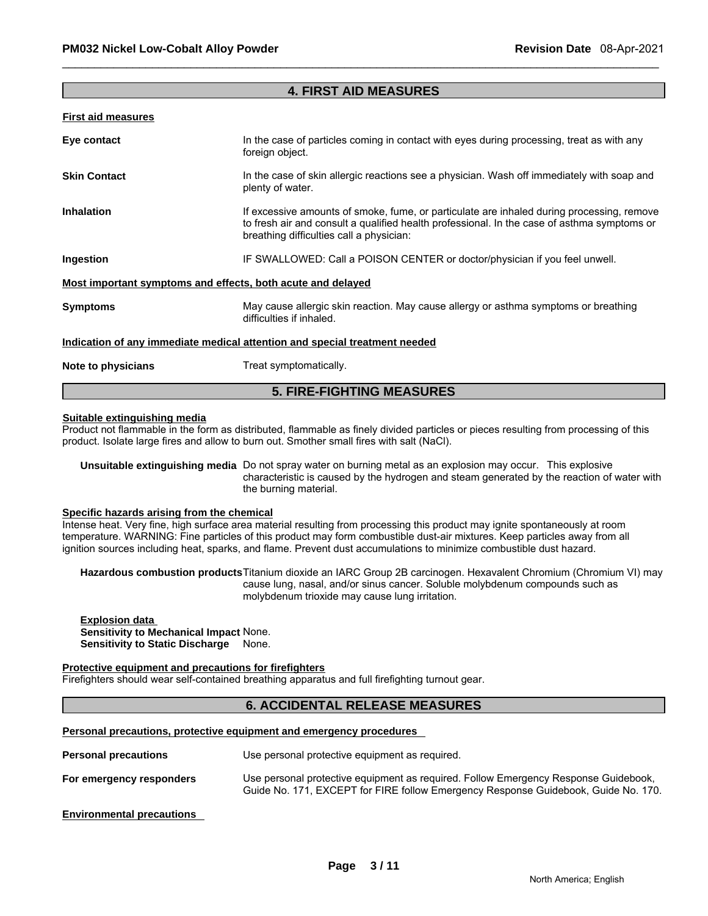#### **4. FIRST AID MEASURES**

#### **First aid measures**

| Eye contact                                                                | In the case of particles coming in contact with eyes during processing, treat as with any<br>foreign object.                                                                                                                         |  |
|----------------------------------------------------------------------------|--------------------------------------------------------------------------------------------------------------------------------------------------------------------------------------------------------------------------------------|--|
| <b>Skin Contact</b>                                                        | In the case of skin allergic reactions see a physician. Wash off immediately with soap and<br>plenty of water.                                                                                                                       |  |
| <b>Inhalation</b>                                                          | If excessive amounts of smoke, fume, or particulate are inhaled during processing, remove<br>to fresh air and consult a qualified health professional. In the case of asthma symptoms or<br>breathing difficulties call a physician: |  |
| Ingestion                                                                  | IF SWALLOWED: Call a POISON CENTER or doctor/physician if you feel unwell.                                                                                                                                                           |  |
| Most important symptoms and effects, both acute and delayed                |                                                                                                                                                                                                                                      |  |
| <b>Symptoms</b>                                                            | May cause allergic skin reaction. May cause allergy or asthma symptoms or breathing<br>difficulties if inhaled.                                                                                                                      |  |
| Indication of any immediate medical attention and special treatment needed |                                                                                                                                                                                                                                      |  |
| Note to physicians                                                         | Treat symptomatically.                                                                                                                                                                                                               |  |

# **Suitable extinguishing media**

Product not flammable in the form as distributed, flammable as finely divided particles or pieces resulting from processing of this product. Isolate large fires and allow to burn out. Smother small fires with salt (NaCl).

**5. FIRE-FIGHTING MEASURES** 

**Unsuitable extinguishing media** Do not spray water on burning metal as an explosion may occur. This explosive characteristic is caused by the hydrogen and steam generated by the reaction of water with the burning material.

#### **Specific hazards arising from the chemical**

Intense heat. Very fine, high surface area material resulting from processing this product may ignite spontaneously at room temperature. WARNING: Fine particles of this product may form combustible dust-air mixtures. Keep particles away from all ignition sources including heat, sparks, and flame. Prevent dust accumulations to minimize combustible dust hazard.

**Hazardous combustion products** Titanium dioxide an IARC Group 2B carcinogen. Hexavalent Chromium (Chromium VI) may cause lung, nasal, and/or sinus cancer. Soluble molybdenum compounds such as molybdenum trioxide may cause lung irritation.

#### **Explosion data Sensitivity to Mechanical Impact** None. **Sensitivity to Static Discharge None.**

#### **Protective equipment and precautions for firefighters**

Firefighters should wear self-contained breathing apparatus and full firefighting turnout gear.

#### **6. ACCIDENTAL RELEASE MEASURES**

#### **Personal precautions, protective equipment and emergency procedures**

| <b>Personal precautions</b> | Use personal protective equipment as required.                                                                                                                            |
|-----------------------------|---------------------------------------------------------------------------------------------------------------------------------------------------------------------------|
| For emergency responders    | Use personal protective equipment as required. Follow Emergency Response Guidebook,<br>Guide No. 171, EXCEPT for FIRE follow Emergency Response Guidebook, Guide No. 170. |

**Environmental precautions**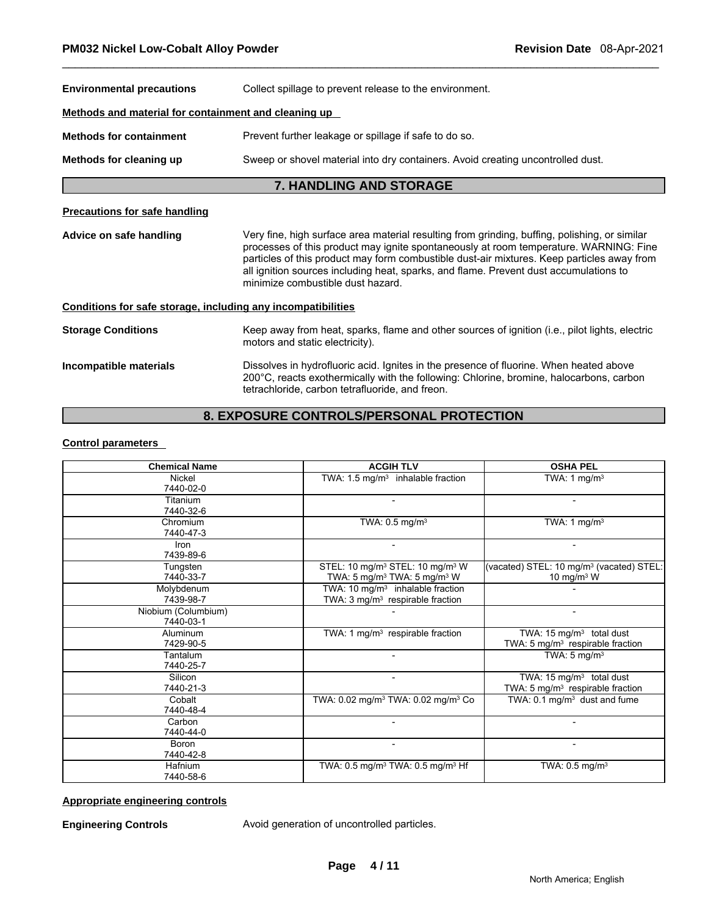| <b>Environmental precautions</b>                             | Collect spillage to prevent release to the environment.                                                                                                                                                                                                                                                                                                                                                            |  |
|--------------------------------------------------------------|--------------------------------------------------------------------------------------------------------------------------------------------------------------------------------------------------------------------------------------------------------------------------------------------------------------------------------------------------------------------------------------------------------------------|--|
| Methods and material for containment and cleaning up         |                                                                                                                                                                                                                                                                                                                                                                                                                    |  |
| <b>Methods for containment</b>                               | Prevent further leakage or spillage if safe to do so.                                                                                                                                                                                                                                                                                                                                                              |  |
| Methods for cleaning up                                      | Sweep or shovel material into dry containers. Avoid creating uncontrolled dust.                                                                                                                                                                                                                                                                                                                                    |  |
|                                                              | <b>7. HANDLING AND STORAGE</b>                                                                                                                                                                                                                                                                                                                                                                                     |  |
| <b>Precautions for safe handling</b>                         |                                                                                                                                                                                                                                                                                                                                                                                                                    |  |
| Advice on safe handling                                      | Very fine, high surface area material resulting from grinding, buffing, polishing, or similar<br>processes of this product may ignite spontaneously at room temperature. WARNING: Fine<br>particles of this product may form combustible dust-air mixtures. Keep particles away from<br>all ignition sources including heat, sparks, and flame. Prevent dust accumulations to<br>minimize combustible dust hazard. |  |
| Conditions for safe storage, including any incompatibilities |                                                                                                                                                                                                                                                                                                                                                                                                                    |  |
| <b>Storage Conditions</b>                                    | Keep away from heat, sparks, flame and other sources of ignition (i.e., pilot lights, electric<br>motors and static electricity).                                                                                                                                                                                                                                                                                  |  |
| Incompatible materials                                       | Dissolves in hydrofluoric acid. Ignites in the presence of fluorine. When heated above<br>200°C, reacts exothermically with the following: Chlorine, bromine, halocarbons, carbon<br>tetrachloride, carbon tetrafluoride, and freon.                                                                                                                                                                               |  |

# **8. EXPOSURE CONTROLS/PERSONAL PROTECTION**

#### **Control parameters**

| <b>Chemical Name</b>             | <b>ACGIH TLV</b>                                                                                               | <b>OSHA PEL</b>                                                                      |
|----------------------------------|----------------------------------------------------------------------------------------------------------------|--------------------------------------------------------------------------------------|
| Nickel<br>7440-02-0              | TWA: $1.5 \text{ mg/m}^3$ inhalable fraction                                                                   | TWA: 1 mg/m <sup>3</sup>                                                             |
| Titanium<br>7440-32-6            |                                                                                                                |                                                                                      |
| Chromium<br>7440-47-3            | TWA: $0.5$ mg/m <sup>3</sup>                                                                                   | TWA: 1 mg/m <sup>3</sup>                                                             |
| Iron<br>7439-89-6                |                                                                                                                |                                                                                      |
| Tungsten<br>7440-33-7            | STEL: 10 mg/m <sup>3</sup> STEL: 10 mg/m <sup>3</sup> W<br>TWA: 5 mg/m <sup>3</sup> TWA: 5 mg/m <sup>3</sup> W | (vacated) STEL: 10 mg/m <sup>3</sup> (vacated) STEL:<br>10 mg/m $3$ W                |
| Molybdenum<br>7439-98-7          | TWA: 10 mg/m <sup>3</sup> inhalable fraction<br>TWA: 3 mg/m <sup>3</sup> respirable fraction                   |                                                                                      |
| Niobium (Columbium)<br>7440-03-1 |                                                                                                                |                                                                                      |
| <b>Aluminum</b><br>7429-90-5     | TWA: 1 $mg/m3$ respirable fraction                                                                             | TWA: 15 mg/m <sup>3</sup> total dust<br>TWA: 5 mg/m <sup>3</sup> respirable fraction |
| Tantalum<br>7440-25-7            |                                                                                                                | TWA: $5 \text{ mg/m}^3$                                                              |
| Silicon<br>7440-21-3             |                                                                                                                | TWA: $15 \text{ mg/m}^3$ total dust<br>TWA: 5 mg/m <sup>3</sup> respirable fraction  |
| Cobalt<br>7440-48-4              | TWA: 0.02 mg/m <sup>3</sup> TWA: 0.02 mg/m <sup>3</sup> Co                                                     | TWA: $0.1 \text{ mg/m}^3$ dust and fume                                              |
| Carbon<br>7440-44-0              |                                                                                                                |                                                                                      |
| Boron<br>7440-42-8               |                                                                                                                |                                                                                      |
| Hafnium<br>7440-58-6             | TWA: 0.5 mg/m <sup>3</sup> TWA: 0.5 mg/m <sup>3</sup> Hf                                                       | TWA: $0.5 \text{ mg/m}^3$                                                            |

#### **Appropriate engineering controls**

**Engineering Controls** Avoid generation of uncontrolled particles.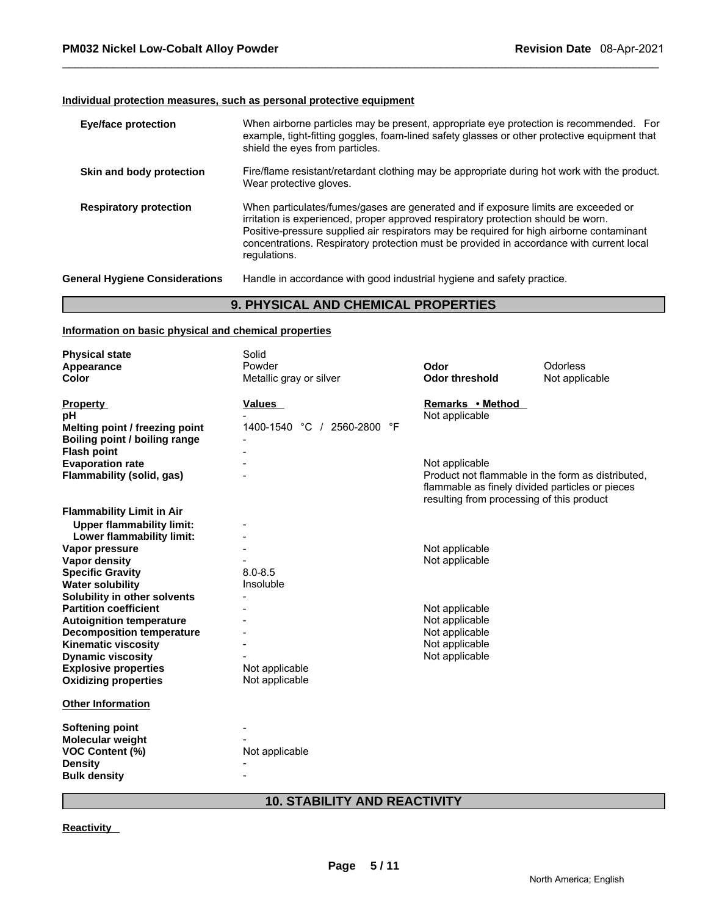#### **Individual protection measures, such as personal protective equipment**

| <b>Eye/face protection</b>            | When airborne particles may be present, appropriate eye protection is recommended. For<br>example, tight-fitting goggles, foam-lined safety glasses or other protective equipment that<br>shield the eyes from particles.                                                                                                                                                       |
|---------------------------------------|---------------------------------------------------------------------------------------------------------------------------------------------------------------------------------------------------------------------------------------------------------------------------------------------------------------------------------------------------------------------------------|
| Skin and body protection              | Fire/flame resistant/retardant clothing may be appropriate during hot work with the product.<br>Wear protective gloves.                                                                                                                                                                                                                                                         |
| <b>Respiratory protection</b>         | When particulates/fumes/gases are generated and if exposure limits are exceeded or<br>irritation is experienced, proper approved respiratory protection should be worn.<br>Positive-pressure supplied air respirators may be required for high airborne contaminant<br>concentrations. Respiratory protection must be provided in accordance with current local<br>regulations. |
| <b>General Hygiene Considerations</b> | Handle in accordance with good industrial hygiene and safety practice.                                                                                                                                                                                                                                                                                                          |

# **9. PHYSICAL AND CHEMICAL PROPERTIES**

#### **Information on basic physical and chemical properties**

| <b>Physical state</b>            | Solid                       |                                                                                                                                                   |                 |
|----------------------------------|-----------------------------|---------------------------------------------------------------------------------------------------------------------------------------------------|-----------------|
| Appearance                       | Powder                      | Odor                                                                                                                                              | <b>Odorless</b> |
| Color                            | Metallic gray or silver     | <b>Odor threshold</b>                                                                                                                             | Not applicable  |
| <b>Property</b>                  | Values                      | Remarks • Method                                                                                                                                  |                 |
| рH                               |                             | Not applicable                                                                                                                                    |                 |
| Melting point / freezing point   | 1400-1540 °C / 2560-2800 °F |                                                                                                                                                   |                 |
| Boiling point / boiling range    |                             |                                                                                                                                                   |                 |
| <b>Flash point</b>               |                             |                                                                                                                                                   |                 |
| <b>Evaporation rate</b>          |                             | Not applicable                                                                                                                                    |                 |
| Flammability (solid, gas)        |                             | Product not flammable in the form as distributed.<br>flammable as finely divided particles or pieces<br>resulting from processing of this product |                 |
| <b>Flammability Limit in Air</b> |                             |                                                                                                                                                   |                 |
| <b>Upper flammability limit:</b> |                             |                                                                                                                                                   |                 |
| Lower flammability limit:        |                             |                                                                                                                                                   |                 |
| Vapor pressure                   |                             | Not applicable                                                                                                                                    |                 |
| Vapor density                    |                             | Not applicable                                                                                                                                    |                 |
| <b>Specific Gravity</b>          | $8.0 - 8.5$                 |                                                                                                                                                   |                 |
| <b>Water solubility</b>          | Insoluble                   |                                                                                                                                                   |                 |
| Solubility in other solvents     |                             |                                                                                                                                                   |                 |
| <b>Partition coefficient</b>     |                             | Not applicable                                                                                                                                    |                 |
| <b>Autoignition temperature</b>  |                             | Not applicable                                                                                                                                    |                 |
| <b>Decomposition temperature</b> |                             | Not applicable                                                                                                                                    |                 |
| <b>Kinematic viscosity</b>       |                             | Not applicable                                                                                                                                    |                 |
| <b>Dynamic viscosity</b>         |                             | Not applicable                                                                                                                                    |                 |
| <b>Explosive properties</b>      | Not applicable              |                                                                                                                                                   |                 |
| <b>Oxidizing properties</b>      | Not applicable              |                                                                                                                                                   |                 |
| <b>Other Information</b>         |                             |                                                                                                                                                   |                 |
| <b>Softening point</b>           |                             |                                                                                                                                                   |                 |
| Molecular weight                 |                             |                                                                                                                                                   |                 |
| <b>VOC Content (%)</b>           | Not applicable              |                                                                                                                                                   |                 |
| <b>Density</b>                   |                             |                                                                                                                                                   |                 |
| <b>Bulk density</b>              |                             |                                                                                                                                                   |                 |
|                                  |                             |                                                                                                                                                   |                 |

# **10. STABILITY AND REACTIVITY**

#### **Reactivity**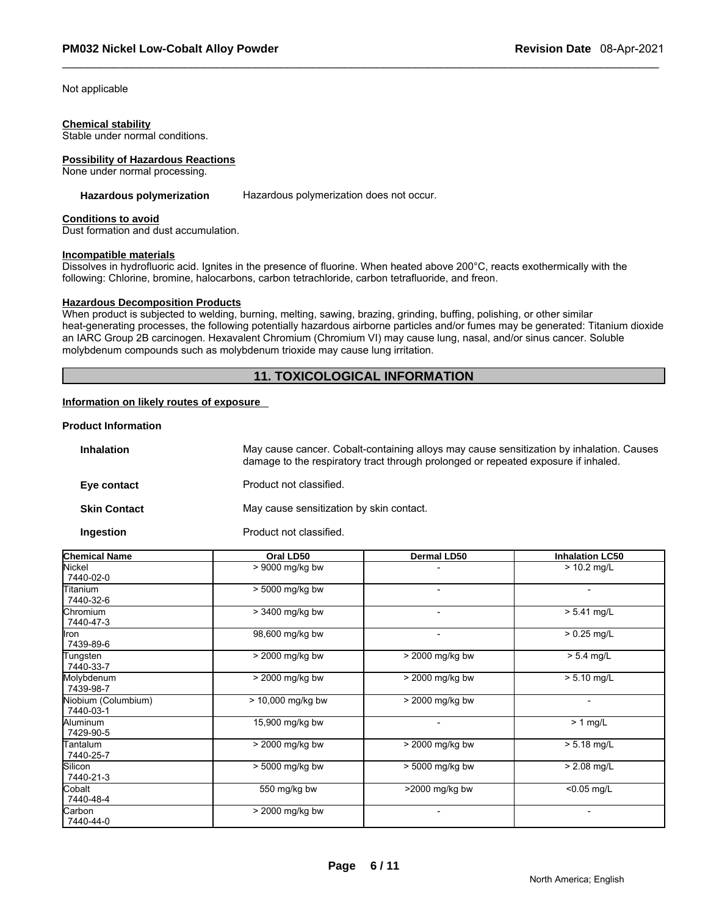Not applicable

#### **Chemical stability**

Stable under normal conditions.

#### **Possibility of Hazardous Reactions**

None under normal processing.

**Hazardous polymerization** Hazardous polymerization does not occur.

#### **Conditions to avoid**

Dust formation and dust accumulation.

#### **Incompatible materials**

Dissolves in hydrofluoric acid. Ignites in the presence of fluorine. When heated above 200°C, reacts exothermically with the following: Chlorine, bromine, halocarbons, carbon tetrachloride, carbon tetrafluoride, and freon.

#### **Hazardous Decomposition Products**

When product is subjected to welding, burning, melting, sawing, brazing, grinding, buffing, polishing, or other similar heat-generating processes, the following potentially hazardous airborne particles and/or fumes may be generated: Titanium dioxide an IARC Group 2B carcinogen. Hexavalent Chromium (Chromium VI) may cause lung, nasal, and/or sinus cancer. Soluble molybdenum compounds such as molybdenum trioxide may cause lung irritation.

### **11. TOXICOLOGICAL INFORMATION**

#### **Information on likely routes of exposure**

#### **Product Information**

| <b>Inhalation</b>   | May cause cancer. Cobalt-containing alloys may cause sensitization by inhalation. Causes<br>damage to the respiratory tract through prolonged or repeated exposure if inhaled. |
|---------------------|--------------------------------------------------------------------------------------------------------------------------------------------------------------------------------|
| Eye contact         | Product not classified.                                                                                                                                                        |
| <b>Skin Contact</b> | May cause sensitization by skin contact.                                                                                                                                       |
| Ingestion           | Product not classified.                                                                                                                                                        |

| <b>Chemical Name</b>             | Oral LD50         | <b>Dermal LD50</b> | <b>Inhalation LC50</b> |
|----------------------------------|-------------------|--------------------|------------------------|
| Nickel<br>7440-02-0              | > 9000 mg/kg bw   |                    | $> 10.2$ mg/L          |
| Titanium<br>7440-32-6            | > 5000 mg/kg bw   | ۰                  | $\blacksquare$         |
| Chromium<br>7440-47-3            | > 3400 mg/kg bw   | ۰                  | $> 5.41$ mg/L          |
| Iron<br>7439-89-6                | 98,600 mg/kg bw   | ۰                  | $> 0.25$ mg/L          |
| Tungsten<br>7440-33-7            | > 2000 mg/kg bw   | > 2000 mg/kg bw    | $> 5.4$ mg/L           |
| Molybdenum<br>7439-98-7          | > 2000 mg/kg bw   | > 2000 mg/kg bw    | $> 5.10$ mg/L          |
| Niobium (Columbium)<br>7440-03-1 | > 10,000 mg/kg bw | > 2000 mg/kg bw    | $\blacksquare$         |
| Aluminum<br>7429-90-5            | 15,900 mg/kg bw   | -                  | $\geq 1$ mg/L          |
| Tantalum<br>7440-25-7            | > 2000 mg/kg bw   | > 2000 mg/kg bw    | $> 5.18$ mg/L          |
| Silicon<br>7440-21-3             | > 5000 mg/kg bw   | > 5000 mg/kg bw    | $> 2.08$ mg/L          |
| Cobalt<br>7440-48-4              | 550 mg/kg bw      | >2000 mg/kg bw     | $< 0.05$ mg/L          |
| Carbon<br>7440-44-0              | $>$ 2000 mg/kg bw |                    | $\blacksquare$         |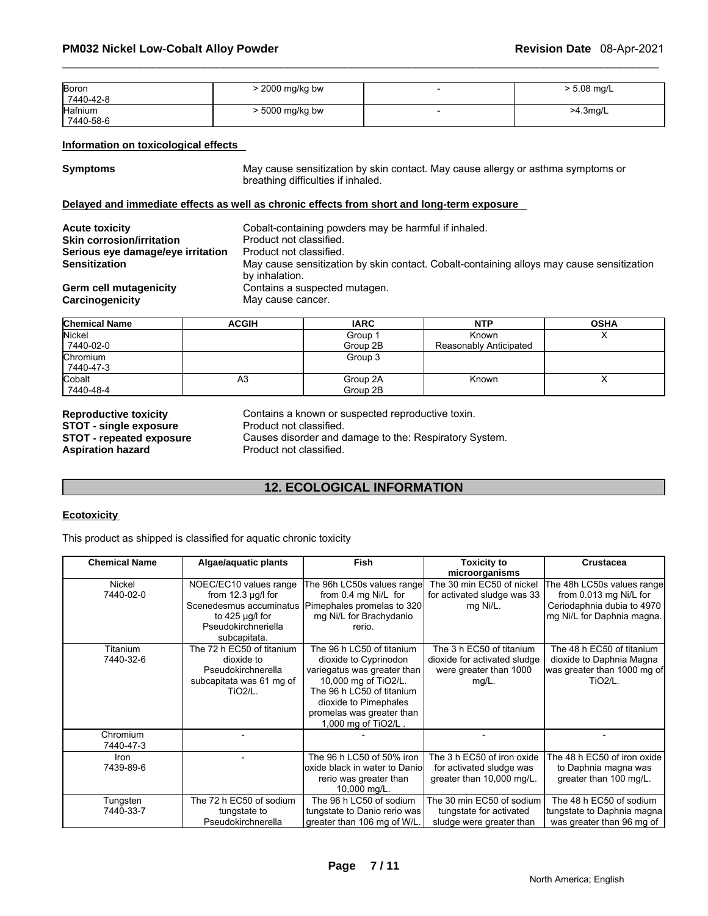| <b>Boron</b> | > 2000 mg/kg bw | $\cdot$ 5.08 mg/L |
|--------------|-----------------|-------------------|
| 7440-42-8    |                 |                   |
| Hafnium      | > 5000 mg/kg bw | >4.3mg/L          |
| 7440-58-6    |                 |                   |

#### **Information on toxicological effects**

**Symptoms** May cause sensitization by skin contact. May cause allergy or asthma symptoms or breathing difficulties if inhaled.

#### **Delayed and immediate effects as well as chronic effects from short and long-term exposure**

| <b>Acute toxicity</b>             | Cobalt-containing powders may be harmful if inhaled.                                                        |
|-----------------------------------|-------------------------------------------------------------------------------------------------------------|
| <b>Skin corrosion/irritation</b>  | Product not classified.                                                                                     |
| Serious eye damage/eye irritation | Product not classified.                                                                                     |
| <b>Sensitization</b>              | May cause sensitization by skin contact. Cobalt-containing alloys may cause sensitization<br>by inhalation. |
| Germ cell mutagenicity            | Contains a suspected mutagen.                                                                               |
| Carcinogenicity                   | May cause cancer.                                                                                           |

| <b>Chemical Name</b> | <b>ACGIH</b> | <b>IARC</b> | <b>NTP</b>             | <b>OSHA</b> |
|----------------------|--------------|-------------|------------------------|-------------|
| Nickel               |              | Group 1     | <b>Known</b>           |             |
| 7440-02-0            |              | Group 2B    | Reasonably Anticipated |             |
| Chromium             |              | Group 3     |                        |             |
| 7440-47-3            |              |             |                        |             |
| Cobalt               | A3           | Group 2A    | Known                  |             |
| 7440-48-4            |              | Group 2B    |                        |             |

**STOT - single exposure<br>
<b>STOT - repeated exposure** 

**Reproductive toxicity** Contains a known or suspected reproductive toxin.<br>**STOT - single exposure** Product not classified. **STOT - repeated exposure Causes disorder and damage to the: Respiratory System.**<br>**Aspiration hazard Product not classified.** Product not classified.

### **12. ECOLOGICAL INFORMATION**

#### **Ecotoxicity**

This product as shipped is classified for aquatic chronic toxicity

| <b>Chemical Name</b>  | Algae/aquatic plants                                                                                             | <b>Fish</b>                                                                                                                                                                                                         | Toxicity to                                                                                    | <b>Crustacea</b>                                                                                                 |
|-----------------------|------------------------------------------------------------------------------------------------------------------|---------------------------------------------------------------------------------------------------------------------------------------------------------------------------------------------------------------------|------------------------------------------------------------------------------------------------|------------------------------------------------------------------------------------------------------------------|
|                       |                                                                                                                  |                                                                                                                                                                                                                     | microorganisms                                                                                 |                                                                                                                  |
| Nickel<br>7440-02-0   | NOEC/EC10 values range<br>from $12.3 \mu g/l$ for<br>to $425 \mu g/l$ for<br>Pseudokirchneriella<br>subcapitata. | The 96h LC50s values range<br>from 0.4 mg Ni/L for<br>Scenedesmus accuminatus   Pimephales promelas to 320  <br>mg Ni/L for Brachydanio<br>rerio.                                                                   | The 30 min EC50 of nickel<br>for activated sludge was 33<br>mg Ni/L.                           | The 48h LC50s values range<br>from 0.013 mg Ni/L for<br>Ceriodaphnia dubia to 4970<br>mg Ni/L for Daphnia magna. |
| Titanium<br>7440-32-6 | The 72 h EC50 of titanium<br>dioxide to<br>Pseudokirchnerella<br>subcapitata was 61 mg of<br><b>TiO2/L.</b>      | The 96 h LC50 of titanium<br>dioxide to Cyprinodon<br>variegatus was greater than<br>10,000 mg of TiO2/L.<br>The 96 h LC50 of titanium<br>dioxide to Pimephales<br>promelas was greater than<br>1,000 mg of TiO2/L. | The 3 h EC50 of titanium<br>dioxide for activated sludge<br>were greater than 1000<br>$mg/L$ . | The 48 h EC50 of titanium<br>dioxide to Daphnia Magna<br>was greater than 1000 mg of<br><b>TiO2/L.</b>           |
| Chromium<br>7440-47-3 |                                                                                                                  |                                                                                                                                                                                                                     |                                                                                                |                                                                                                                  |
| Iron<br>7439-89-6     |                                                                                                                  | The 96 h LC50 of 50% iron<br>oxide black in water to Danio<br>rerio was greater than<br>10,000 mg/L.                                                                                                                | The 3 h EC50 of iron oxide<br>for activated sludge was<br>greater than 10,000 mg/L.            | The 48 h EC50 of iron oxide<br>to Daphnia magna was<br>greater than 100 mg/L.                                    |
| Tungsten<br>7440-33-7 | The 72 h EC50 of sodium<br>tungstate to<br>Pseudokirchnerella                                                    | The 96 h LC50 of sodium<br>tungstate to Danio rerio was<br>greater than 106 mg of W/L.                                                                                                                              | The 30 min EC50 of sodium<br>tungstate for activated<br>sludge were greater than               | The 48 h EC50 of sodium<br>tungstate to Daphnia magna<br>was greater than 96 mg of                               |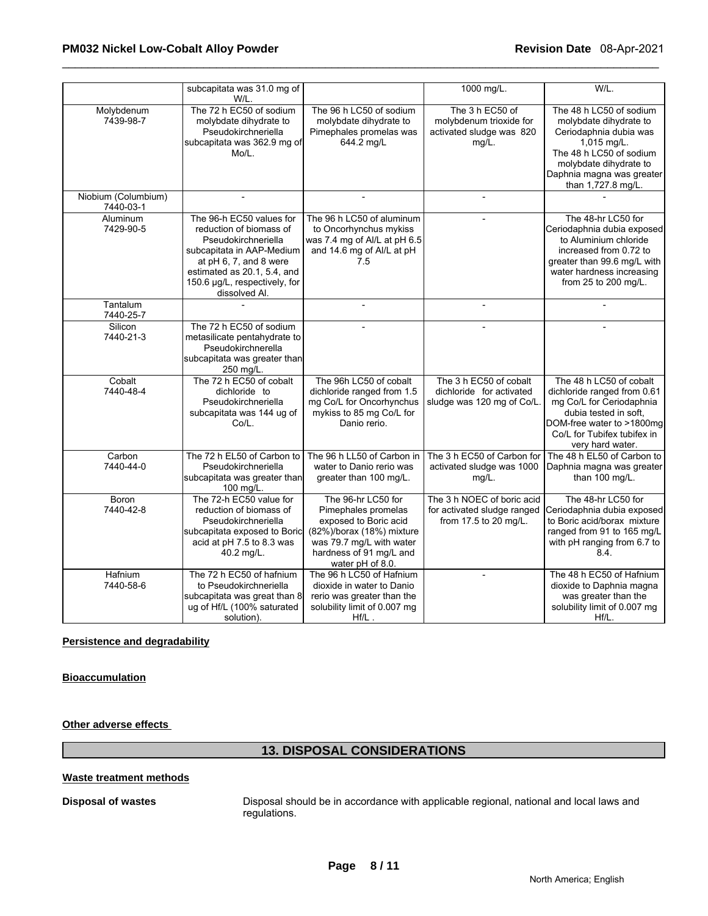|                                  | subcapitata was 31.0 mg of<br>W/L.                                                                                                                                                                                 |                                                                                                                                                                            | 1000 mg/L.                                                                         | W/L.                                                                                                                                                                                               |
|----------------------------------|--------------------------------------------------------------------------------------------------------------------------------------------------------------------------------------------------------------------|----------------------------------------------------------------------------------------------------------------------------------------------------------------------------|------------------------------------------------------------------------------------|----------------------------------------------------------------------------------------------------------------------------------------------------------------------------------------------------|
| Molybdenum<br>7439-98-7          | The 72 h EC50 of sodium<br>molybdate dihydrate to<br>Pseudokirchneriella<br>subcapitata was 362.9 mg of<br>Mo/L.                                                                                                   | The 96 h LC50 of sodium<br>molybdate dihydrate to<br>Pimephales promelas was<br>644.2 mg/L                                                                                 | The 3 h EC50 of<br>molybdenum trioxide for<br>activated sludge was 820<br>$mg/L$ . | The 48 h LC50 of sodium<br>molybdate dihydrate to<br>Ceriodaphnia dubia was<br>1,015 mg/L.<br>The 48 h LC50 of sodium<br>molybdate dihydrate to<br>Daphnia magna was greater<br>than 1,727.8 mg/L. |
| Niobium (Columbium)<br>7440-03-1 | $\overline{\phantom{a}}$                                                                                                                                                                                           | $\overline{a}$                                                                                                                                                             | $\overline{a}$                                                                     |                                                                                                                                                                                                    |
| Aluminum<br>7429-90-5            | The 96-h EC50 values for<br>reduction of biomass of<br>Pseudokirchneriella<br>subcapitata in AAP-Medium<br>at pH 6, 7, and 8 were<br>estimated as 20.1, 5.4, and<br>150.6 µg/L, respectively, for<br>dissolved Al. | The 96 h LC50 of aluminum<br>to Oncorhynchus mykiss<br>was 7.4 mg of Al/L at pH 6.5<br>and 14.6 mg of Al/L at pH<br>7.5                                                    |                                                                                    | The 48-hr LC50 for<br>Ceriodaphnia dubia exposed<br>to Aluminium chloride<br>increased from 0.72 to<br>greater than 99.6 mg/L with<br>water hardness increasing<br>from 25 to 200 mg/L.            |
| Tantalum<br>7440-25-7            |                                                                                                                                                                                                                    | $\blacksquare$                                                                                                                                                             | $\overline{a}$                                                                     |                                                                                                                                                                                                    |
| Silicon<br>7440-21-3             | The 72 h EC50 of sodium<br>metasilicate pentahydrate to<br>Pseudokirchnerella<br>subcapitata was greater than<br>250 mg/L.                                                                                         |                                                                                                                                                                            |                                                                                    |                                                                                                                                                                                                    |
| Cobalt<br>7440-48-4              | The 72 h EC50 of cobalt<br>dichloride to<br>Pseudokirchneriella<br>subcapitata was 144 ug of<br>Co/L.                                                                                                              | The 96h LC50 of cobalt<br>dichloride ranged from 1.5<br>mg Co/L for Oncorhynchus<br>mykiss to 85 mg Co/L for<br>Danio rerio.                                               | The 3 h EC50 of cobalt<br>dichloride for activated<br>sludge was 120 mg of Co/L.   | The 48 h LC50 of cobalt<br>dichloride ranged from 0.61<br>mg Co/L for Ceriodaphnia<br>dubia tested in soft.<br>DOM-free water to >1800mg<br>Co/L for Tubifex tubifex in<br>very hard water.        |
| Carbon<br>7440-44-0              | The 72 h EL50 of Carbon to<br>Pseudokirchneriella<br>subcapitata was greater than<br>100 mg/L.                                                                                                                     | The 96 h LL50 of Carbon in<br>water to Danio rerio was<br>greater than 100 mg/L.                                                                                           | The 3 h EC50 of Carbon for<br>activated sludge was 1000<br>mg/L.                   | The 48 h EL50 of Carbon to<br>Daphnia magna was greater<br>than 100 mg/L.                                                                                                                          |
| Boron<br>7440-42-8               | The 72-h EC50 value for<br>reduction of biomass of<br>Pseudokirchneriella<br>subcapitata exposed to Boric<br>acid at pH 7.5 to 8.3 was<br>40.2 mg/L.                                                               | The 96-hr LC50 for<br>Pimephales promelas<br>exposed to Boric acid<br>(82%)/borax (18%) mixture<br>was 79.7 mg/L with water<br>hardness of 91 mg/L and<br>water pH of 8.0. | The 3 h NOEC of boric acid<br>for activated sludge ranged<br>from 17.5 to 20 mg/L. | The 48-hr LC50 for<br>Ceriodaphnia dubia exposed<br>to Boric acid/borax mixture<br>ranged from 91 to 165 mg/L<br>with pH ranging from 6.7 to<br>8.4.                                               |
| Hafnium<br>7440-58-6             | The 72 h EC50 of hafnium<br>to Pseudokirchneriella<br>subcapitata was great than 8<br>ug of Hf/L (100% saturated<br>solution).                                                                                     | The 96 h LC50 of Hafnium<br>dioxide in water to Danio<br>rerio was greater than the<br>solubility limit of 0.007 mg<br>$Hf/L$ .                                            | $\blacksquare$                                                                     | The 48 h EC50 of Hafnium<br>dioxide to Daphnia magna<br>was greater than the<br>solubility limit of 0.007 mg<br>Hf/L.                                                                              |

#### **Persistence and degradability**

**Bioaccumulation**

**Other adverse effects** 

## **13. DISPOSAL CONSIDERATIONS**

#### **Waste treatment methods**

**Disposal of wastes** Disposal should be in accordance with applicable regional, national and local laws and regulations.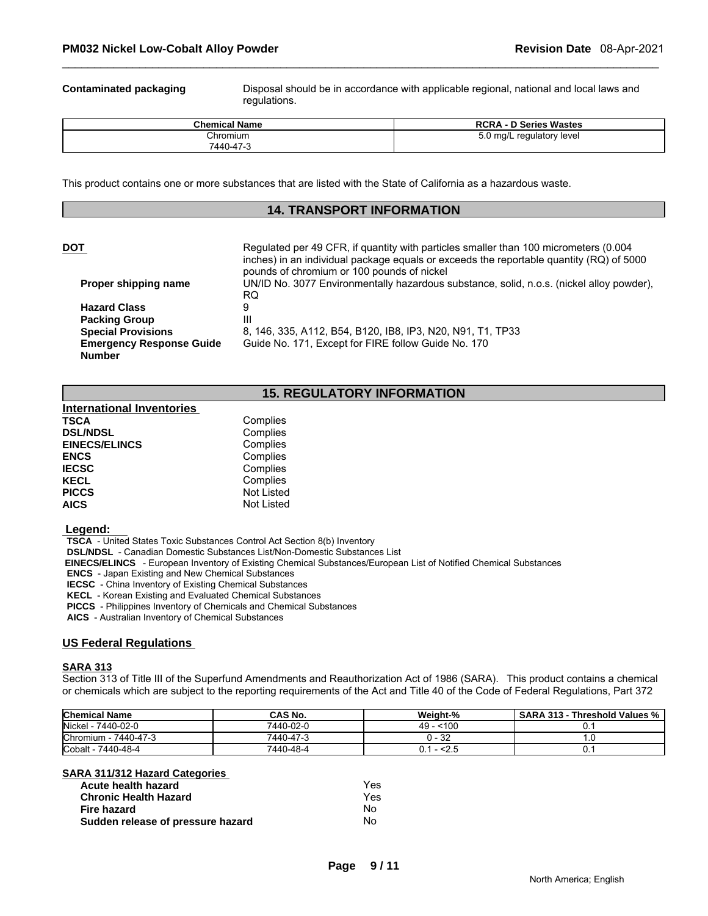**Contaminated packaging** Disposal should be in accordance with applicable regional, national and local laws and regulations.

| <b>Chemical Name</b> | <b>RCRA - D Series Wastes</b> |
|----------------------|-------------------------------|
| Chromium             | $5.0 \text{ mg/L}$            |
| 7440-47-3            | . regulatory level            |

This product contains one or more substances that are listed with the State of California as a hazardous waste.

### **14. TRANSPORT INFORMATION**

#### **DOT Regulated per 49 CFR, if quantity with particles smaller than 100 micrometers (0.004**

inches) in an individual package equals or exceeds the reportable quantity (RQ) of 5000 pounds of chromium or 100 pounds of nickel **Proper shipping name** UN/ID No. 3077 Environmentally hazardous substance, solid, n.o.s. (nickel alloy powder), RQ **Hazard Class** 9 **Packing Group Special Provisions** 8, 146, 335, A112, B54, B120, IB8, IP3, N20, N91, T1, TP33 **Emergency Response Guide Number**  Guide No. 171, Except for FIRE follow Guide No. 170

#### **15. REGULATORY INFORMATION**

| <b>International Inventories</b> |                   |
|----------------------------------|-------------------|
| TSCA                             | Complies          |
| <b>DSL/NDSL</b>                  | Complies          |
| <b>EINECS/ELINCS</b>             | Complies          |
| <b>ENCS</b>                      | Complies          |
| <b>IECSC</b>                     | Complies          |
| KECL                             | Complies          |
| <b>PICCS</b>                     | <b>Not Listed</b> |
| <b>AICS</b>                      | Not Listed        |

#### **Legend:**

 **TSCA** - United States Toxic Substances Control Act Section 8(b) Inventory

 **DSL/NDSL** - Canadian Domestic Substances List/Non-Domestic Substances List

 **EINECS/ELINCS** - European Inventory of Existing Chemical Substances/European List of Notified Chemical Substances

 **ENCS** - Japan Existing and New Chemical Substances

 **IECSC** - China Inventory of Existing Chemical Substances

 **KECL** - Korean Existing and Evaluated Chemical Substances

 **PICCS** - Philippines Inventory of Chemicals and Chemical Substances

 **AICS** - Australian Inventory of Chemical Substances

#### **US Federal Regulations**

#### **SARA 313**

Section 313 of Title III of the Superfund Amendments and Reauthorization Act of 1986 (SARA). This product contains a chemical or chemicals which are subject to the reporting requirements of the Act and Title 40 of the Code of Federal Regulations, Part 372

| <b>Chemical Name</b>    | CAS No.   | Weight-%                         | <b>SARA 313</b><br>Threshold Values % |
|-------------------------|-----------|----------------------------------|---------------------------------------|
| Nickel -<br>7440-02-0   | 7440-02-0 | 100<br>49                        |                                       |
| Chromium -<br>7440-47-3 | 7440-47-3 | ) - 32                           | $\cdot$ . $\cup$                      |
| Cobalt -<br>7440-48-4   | 7440-48-4 | 54.5<br>$\overline{\phantom{0}}$ | υ.                                    |

#### **SARA 311/312 Hazard Categories**

| Acute health hazard               | Yes |
|-----------------------------------|-----|
| <b>Chronic Health Hazard</b>      | Yes |
| Fire hazard                       | Nο  |
| Sudden release of pressure hazard | Nο  |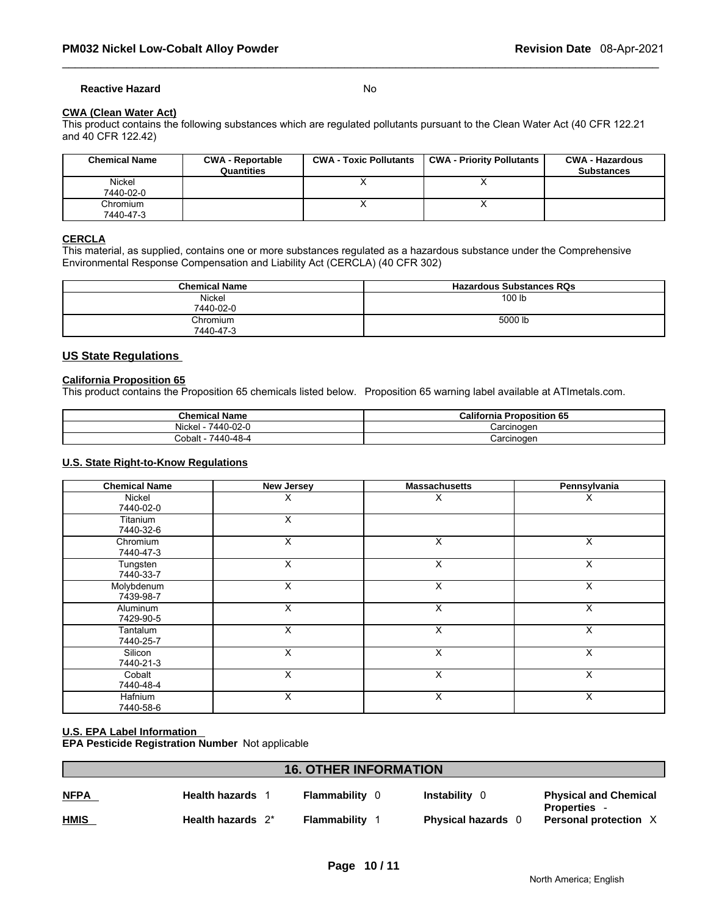#### **Reactive Hazard** No

#### **CWA (Clean Water Act)**

This product contains the following substances which are regulated pollutants pursuant to the Clean Water Act (40 CFR 122.21 and 40 CFR 122.42)

| <b>Chemical Name</b>  | <b>CWA - Reportable</b><br>Quantities | <b>CWA - Toxic Pollutants</b> | CWA - Priority Pollutants | <b>CWA - Hazardous</b><br><b>Substances</b> |
|-----------------------|---------------------------------------|-------------------------------|---------------------------|---------------------------------------------|
| Nickel<br>7440-02-0   |                                       |                               |                           |                                             |
| Chromium<br>7440-47-3 |                                       |                               |                           |                                             |

#### **CERCLA**

This material, as supplied, contains one or more substances regulated as a hazardous substance under the Comprehensive Environmental Response Compensation and Liability Act (CERCLA) (40 CFR 302)

| <b>Chemical Name</b>       | <b>Hazardous Substances RQs</b> |
|----------------------------|---------------------------------|
| <b>Nickel</b><br>7440-02-0 | 100 lb                          |
| Chromium<br>7440-47-3      | 5000 lb                         |

### **US State Regulations**

#### **California Proposition 65**

This product contains the Proposition 65 chemicals listed below. Proposition 65 warning label available at ATImetals.com.

| <b>Chemical</b><br>' Name                                   | California<br>--<br>п.<br>oposition 65 |
|-------------------------------------------------------------|----------------------------------------|
| $\cdots$<br>$\sim$ $\sim$<br>AAN.<br>Nickel<br>' ∖-∠ل<br>᠇᠊ | `oroinoqon<br>ווטו                     |
| 7440-48-4<br>Cobalt                                         | 'oroinoqon<br>valulluuti               |

#### **U.S. State Right-to-Know Regulations**

| <b>Chemical Name</b>    | <b>New Jersey</b> | <b>Massachusetts</b>    | Pennsylvania |
|-------------------------|-------------------|-------------------------|--------------|
| Nickel<br>7440-02-0     | х                 | X                       | ᄉ            |
| Titanium<br>7440-32-6   | X                 |                         |              |
| Chromium<br>7440-47-3   | X                 | X                       | X            |
| Tungsten<br>7440-33-7   | X                 | X                       | X            |
| Molybdenum<br>7439-98-7 | X                 | X                       | X            |
| Aluminum<br>7429-90-5   | X                 | $\overline{\mathsf{x}}$ | X            |
| Tantalum<br>7440-25-7   | X                 | X                       | $\times$     |
| Silicon<br>7440-21-3    | X                 | $\overline{\mathsf{x}}$ | X            |
| Cobalt<br>7440-48-4     | X                 | X                       | $\times$     |
| Hafnium<br>7440-58-6    | X                 | X                       | X            |

# **U.S. EPA Label Information**

**EPA Pesticide Registration Number** Not applicable

# **16. OTHER INFORMATION NFPA Health hazards** 1 **Flammability** 0 **Instability** 0 **Physical and Chemical Properties** - **HMIS Health hazards** 2\* **Flammability** 1 **Physical hazards** 0 **Personal protection** X